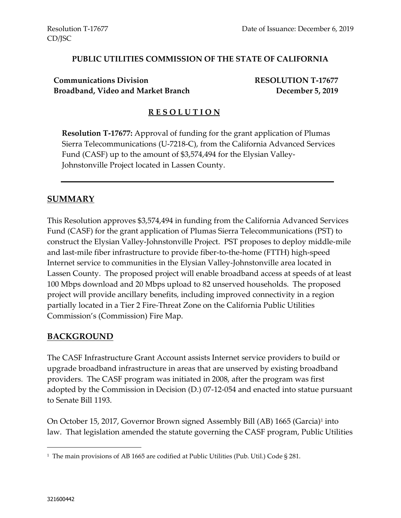#### **PUBLIC UTILITIES COMMISSION OF THE STATE OF CALIFORNIA**

**Communications Division RESOLUTION T-17677 Broadband, Video and Market Branch December 5, 2019**

#### **R E S O L U T I O N**

**Resolution T-17677:** Approval of funding for the grant application of Plumas Sierra Telecommunications (U-7218-C), from the California Advanced Services Fund (CASF) up to the amount of \$3,574,494 for the Elysian Valley-Johnstonville Project located in Lassen County.

## **SUMMARY**

This Resolution approves \$3,574,494 in funding from the California Advanced Services Fund (CASF) for the grant application of Plumas Sierra Telecommunications (PST) to construct the Elysian Valley-Johnstonville Project. PST proposes to deploy middle-mile and last-mile fiber infrastructure to provide fiber-to-the-home (FTTH) high-speed Internet service to communities in the Elysian Valley-Johnstonville area located in Lassen County. The proposed project will enable broadband access at speeds of at least 100 Mbps download and 20 Mbps upload to 82 unserved households. The proposed project will provide ancillary benefits, including improved connectivity in a region partially located in a Tier 2 Fire-Threat Zone on the California Public Utilities Commission's (Commission) Fire Map.

#### **BACKGROUND**

The CASF Infrastructure Grant Account assists Internet service providers to build or upgrade broadband infrastructure in areas that are unserved by existing broadband providers. The CASF program was initiated in 2008, after the program was first adopted by the Commission in Decision (D.) 07-12-054 and enacted into statue pursuant to Senate Bill 1193.

On October 15, 2017, Governor Brown signed Assembly Bill (AB) 1665 (Garcia)<sup>1</sup> into law. That legislation amended the statute governing the CASF program, Public Utilities

 $\overline{a}$ 

<sup>1</sup> The main provisions of AB 1665 are codified at Public Utilities (Pub. Util.) Code § 281.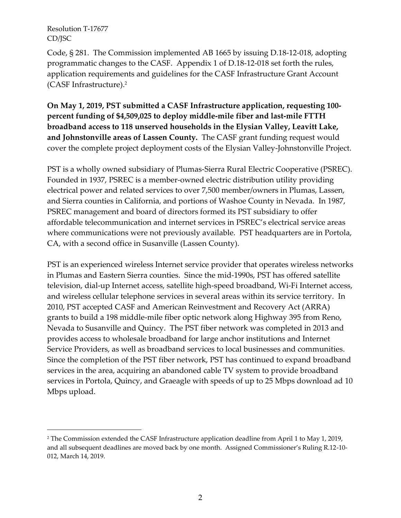$\overline{a}$ 

Code, § 281. The Commission implemented AB 1665 by issuing D.18-12-018, adopting programmatic changes to the CASF. Appendix 1 of D.18-12-018 set forth the rules, application requirements and guidelines for the CASF Infrastructure Grant Account (CASF Infrastructure). 2

**On May 1, 2019, PST submitted a CASF Infrastructure application, requesting 100 percent funding of \$4,509,025 to deploy middle-mile fiber and last-mile FTTH broadband access to 118 unserved households in the Elysian Valley, Leavitt Lake, and Johnstonville areas of Lassen County.** The CASF grant funding request would cover the complete project deployment costs of the Elysian Valley-Johnstonville Project.

PST is a wholly owned subsidiary of Plumas-Sierra Rural Electric Cooperative (PSREC). Founded in 1937, PSREC is a member-owned electric distribution utility providing electrical power and related services to over 7,500 member/owners in Plumas, Lassen, and Sierra counties in California, and portions of Washoe County in Nevada. In 1987, PSREC management and board of directors formed its PST subsidiary to offer affordable telecommunication and internet services in PSREC's electrical service areas where communications were not previously available. PST headquarters are in Portola, CA, with a second office in Susanville (Lassen County).

PST is an experienced wireless Internet service provider that operates wireless networks in Plumas and Eastern Sierra counties. Since the mid-1990s, PST has offered satellite television, dial-up Internet access, satellite high-speed broadband, Wi-Fi Internet access, and wireless cellular telephone services in several areas within its service territory. In 2010, PST accepted CASF and American Reinvestment and Recovery Act (ARRA) grants to build a 198 middle-mile fiber optic network along Highway 395 from Reno, Nevada to Susanville and Quincy. The PST fiber network was completed in 2013 and provides access to wholesale broadband for large anchor institutions and Internet Service Providers, as well as broadband services to local businesses and communities. Since the completion of the PST fiber network, PST has continued to expand broadband services in the area, acquiring an abandoned cable TV system to provide broadband services in Portola, Quincy, and Graeagle with speeds of up to 25 Mbps download ad 10 Mbps upload.

<sup>2</sup> The Commission extended the CASF Infrastructure application deadline from April 1 to May 1, 2019, and all subsequent deadlines are moved back by one month. Assigned Commissioner's Ruling R.12-10- 012, March 14, 2019.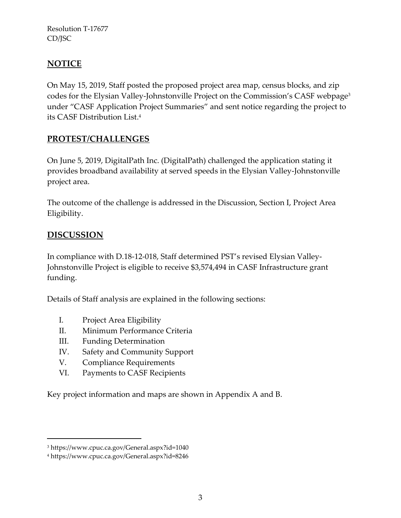# **NOTICE**

On May 15, 2019, Staff posted the proposed project area map, census blocks, and zip codes for the Elysian Valley-Johnstonville Project on the Commission's CASF webpage<sup>3</sup> under "CASF Application Project Summaries" and sent notice regarding the project to its CASF Distribution List. 4

## **PROTEST/CHALLENGES**

On June 5, 2019, DigitalPath Inc. (DigitalPath) challenged the application stating it provides broadband availability at served speeds in the Elysian Valley-Johnstonville project area.

The outcome of the challenge is addressed in the Discussion, Section I, Project Area Eligibility.

# **DISCUSSION**

 $\overline{a}$ 

In compliance with D.18-12-018, Staff determined PST's revised Elysian Valley-Johnstonville Project is eligible to receive \$3,574,494 in CASF Infrastructure grant funding.

Details of Staff analysis are explained in the following sections:

- I. Project Area Eligibility
- II. Minimum Performance Criteria
- III. Funding Determination
- IV. Safety and Community Support
- V. Compliance Requirements
- VI. Payments to CASF Recipients

Key project information and maps are shown in Appendix A and B.

<sup>3</sup> https://www.cpuc.ca.gov/General.aspx?id=1040

<sup>4</sup> https://www.cpuc.ca.gov/General.aspx?id=8246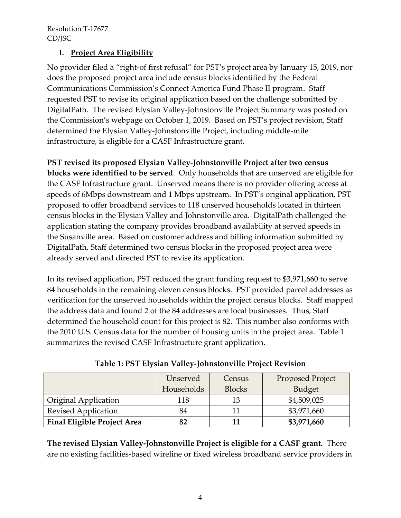## **I. Project Area Eligibility**

No provider filed a "right-of first refusal" for PST's project area by January 15, 2019, nor does the proposed project area include census blocks identified by the Federal Communications Commission's Connect America Fund Phase II program. Staff requested PST to revise its original application based on the challenge submitted by DigitalPath. The revised Elysian Valley-Johnstonville Project Summary was posted on the Commission's webpage on October 1, 2019. Based on PST's project revision, Staff determined the Elysian Valley-Johnstonville Project, including middle-mile infrastructure, is eligible for a CASF Infrastructure grant.

**PST revised its proposed Elysian Valley-Johnstonville Project after two census blocks were identified to be served**. Only households that are unserved are eligible for the CASF Infrastructure grant. Unserved means there is no provider offering access at speeds of 6Mbps downstream and 1 Mbps upstream. In PST's original application, PST proposed to offer broadband services to 118 unserved households located in thirteen census blocks in the Elysian Valley and Johnstonville area. DigitalPath challenged the application stating the company provides broadband availability at served speeds in the Susanville area. Based on customer address and billing information submitted by DigitalPath, Staff determined two census blocks in the proposed project area were already served and directed PST to revise its application.

In its revised application, PST reduced the grant funding request to \$3,971,660 to serve 84 households in the remaining eleven census blocks. PST provided parcel addresses as verification for the unserved households within the project census blocks. Staff mapped the address data and found 2 of the 84 addresses are local businesses. Thus, Staff determined the household count for this project is 82. This number also conforms with the 2010 U.S. Census data for the number of housing units in the project area. Table 1 summarizes the revised CASF Infrastructure grant application.

|                                    | Unserved<br>Households | Census<br><b>Blocks</b> | <b>Proposed Project</b><br><b>Budget</b> |
|------------------------------------|------------------------|-------------------------|------------------------------------------|
| Original Application               | 118                    | 13                      | \$4,509,025                              |
| <b>Revised Application</b>         | 84                     |                         | \$3,971,660                              |
| <b>Final Eligible Project Area</b> | 82                     |                         | \$3,971,660                              |

**Table 1: PST Elysian Valley-Johnstonville Project Revision**

**The revised Elysian Valley-Johnstonville Project is eligible for a CASF grant.** There are no existing facilities-based wireline or fixed wireless broadband service providers in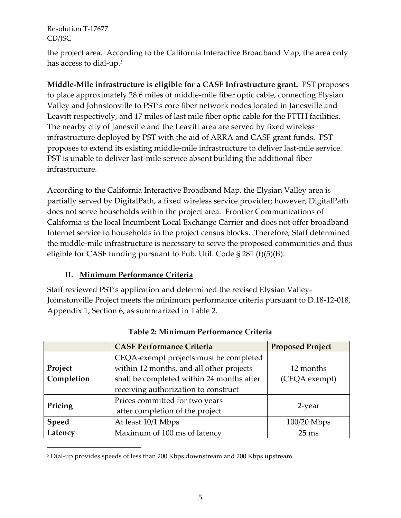$\overline{a}$ 

the project area. According to the California Interactive Broadband Map, the area only has access to dial-up. $^5$ 

**Middle-Mile infrastructure is eligible for a CASF Infrastructure grant.** PST proposes to place approximately 28.6 miles of middle-mile fiber optic cable, connecting Elysian Valley and Johnstonville to PST's core fiber network nodes located in Janesville and Leavitt respectively, and 17 miles of last mile fiber optic cable for the FTTH facilities. The nearby city of Janesville and the Leavitt area are served by fixed wireless infrastructure deployed by PST with the aid of ARRA and CASF grant funds. PST proposes to extend its existing middle-mile infrastructure to deliver last-mile service. PST is unable to deliver last-mile service absent building the additional fiber infrastructure.

According to the California Interactive Broadband Map, the Elysian Valley area is partially served by DigitalPath, a fixed wireless service provider; however, DigitalPath does not serve households within the project area. Frontier Communications of California is the local Incumbent Local Exchange Carrier and does not offer broadband Internet service to households in the project census blocks. Therefore, Staff determined the middle-mile infrastructure is necessary to serve the proposed communities and thus eligible for CASF funding pursuant to Pub. Util. Code  $\S 281$  (f)(5)(B).

## **II. Minimum Performance Criteria**

Staff reviewed PST's application and determined the revised Elysian Valley-Johnstonville Project meets the minimum performance criteria pursuant to D.18-12-018, Appendix 1, Section 6, as summarized in Table 2.

|            | <b>CASF Performance Criteria</b>          | <b>Proposed Project</b> |  |
|------------|-------------------------------------------|-------------------------|--|
|            | CEQA-exempt projects must be completed    |                         |  |
| Project    | within 12 months, and all other projects  | 12 months               |  |
| Completion | shall be completed within 24 months after | (CEQA exempt)           |  |
|            | receiving authorization to construct      |                         |  |
|            | Prices committed for two years            | 2-year                  |  |
| Pricing    | after completion of the project           |                         |  |
| Speed      | At least 10/1 Mbps                        | $100/20$ Mbps           |  |
| Latency    | Maximum of 100 ms of latency              | $25 \text{ ms}$         |  |

#### **Table 2: Minimum Performance Criteria**

<sup>5</sup> Dial-up provides speeds of less than 200 Kbps downstream and 200 Kbps upstream.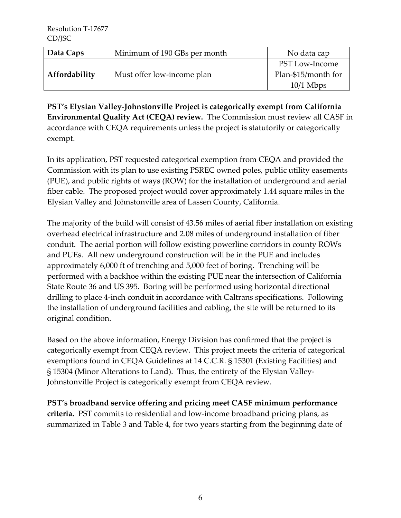| Data Caps     | Minimum of 190 GBs per month | No data cap           |
|---------------|------------------------------|-----------------------|
|               |                              | <b>PST Low-Income</b> |
| Affordability | Must offer low-income plan   | Plan-\$15/month for   |
|               |                              | $10/1$ Mbps           |

**PST's Elysian Valley-Johnstonville Project is categorically exempt from California Environmental Quality Act (CEQA) review.** The Commission must review all CASF in accordance with CEQA requirements unless the project is statutorily or categorically exempt.

In its application, PST requested categorical exemption from CEQA and provided the Commission with its plan to use existing PSREC owned poles, public utility easements (PUE), and public rights of ways (ROW) for the installation of underground and aerial fiber cable. The proposed project would cover approximately 1.44 square miles in the Elysian Valley and Johnstonville area of Lassen County, California.

The majority of the build will consist of 43.56 miles of aerial fiber installation on existing overhead electrical infrastructure and 2.08 miles of underground installation of fiber conduit. The aerial portion will follow existing powerline corridors in county ROWs and PUEs. All new underground construction will be in the PUE and includes approximately 6,000 ft of trenching and 5,000 feet of boring. Trenching will be performed with a backhoe within the existing PUE near the intersection of California State Route 36 and US 395. Boring will be performed using horizontal directional drilling to place 4-inch conduit in accordance with Caltrans specifications. Following the installation of underground facilities and cabling, the site will be returned to its original condition.

Based on the above information, Energy Division has confirmed that the project is categorically exempt from CEQA review. This project meets the criteria of categorical exemptions found in CEQA Guidelines at 14 C.C.R. § 15301 (Existing Facilities) and § 15304 (Minor Alterations to Land). Thus, the entirety of the Elysian Valley-Johnstonville Project is categorically exempt from CEQA review.

**PST's broadband service offering and pricing meet CASF minimum performance criteria.** PST commits to residential and low-income broadband pricing plans, as summarized in Table 3 and Table 4, for two years starting from the beginning date of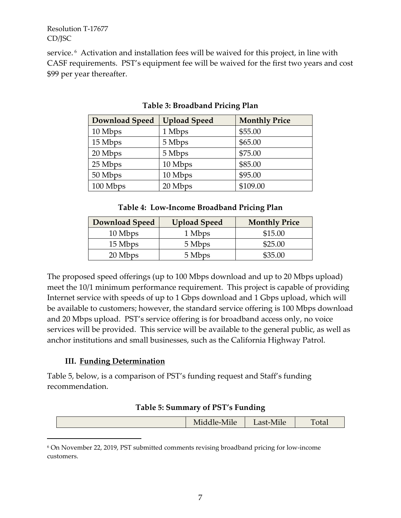service.<sup>6</sup> Activation and installation fees will be waived for this project, in line with CASF requirements. PST's equipment fee will be waived for the first two years and cost \$99 per year thereafter.

| <b>Download Speed</b> | <b>Upload Speed</b> | <b>Monthly Price</b> |
|-----------------------|---------------------|----------------------|
| 10 Mbps               | 1 Mbps              | \$55.00              |
| 15 Mbps               | 5 Mbps              | \$65.00              |
| 20 Mbps               | 5 Mbps              | \$75.00              |
| 25 Mbps               | 10 Mbps             | \$85.00              |
| 50 Mbps               | 10 Mbps             | \$95.00              |
| 100 Mbps              | 20 Mbps             | \$109.00             |

**Table 3: Broadband Pricing Plan**

#### **Table 4: Low-Income Broadband Pricing Plan**

| <b>Download Speed</b> | <b>Upload Speed</b> | <b>Monthly Price</b> |
|-----------------------|---------------------|----------------------|
| 10 Mbps               | 1 Mbps              | \$15.00              |
| 15 Mbps               | 5 Mbps              | \$25.00              |
| 20 Mbps               | 5 Mbps              | \$35.00              |

The proposed speed offerings (up to 100 Mbps download and up to 20 Mbps upload) meet the 10/1 minimum performance requirement. This project is capable of providing Internet service with speeds of up to 1 Gbps download and 1 Gbps upload, which will be available to customers; however, the standard service offering is 100 Mbps download and 20 Mbps upload. PST's service offering is for broadband access only, no voice services will be provided. This service will be available to the general public, as well as anchor institutions and small businesses, such as the California Highway Patrol.

#### **III. Funding Determination**

 $\overline{a}$ 

Table 5, below, is a comparison of PST's funding request and Staff's funding recommendation.

#### **Table 5: Summary of PST's Funding**

| $\mathbf{A}$<br>$\sim$ $\sim$ $\sim$<br>1 otal<br>Middle<br>$\mathbf{u}$<br>$\overline{a}$<br>-TATTIC<br>111C |
|---------------------------------------------------------------------------------------------------------------|
|---------------------------------------------------------------------------------------------------------------|

<sup>6</sup> On November 22, 2019, PST submitted comments revising broadband pricing for low-income customers.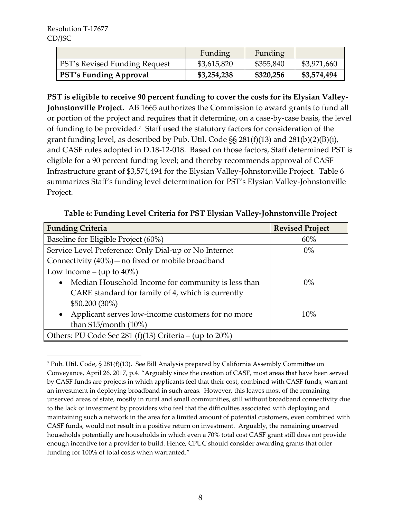\$50,200 (30%)

than \$15/month (10%)

|                                      | Funding     | Funding   |             |
|--------------------------------------|-------------|-----------|-------------|
| <b>PST's Revised Funding Request</b> | \$3,615,820 | \$355,840 | \$3,971,660 |
| <b>PST's Funding Approval</b>        | \$3,254,238 | \$320,256 | \$3,574,494 |

**PST is eligible to receive 90 percent funding to cover the costs for its Elysian Valley-Johnstonville Project.** AB 1665 authorizes the Commission to award grants to fund all or portion of the project and requires that it determine, on a case-by-case basis, the level of funding to be provided.<sup>7</sup> Staff used the statutory factors for consideration of the grant funding level, as described by Pub. Util. Code §§ 281(f)(13) and 281(b)(2)(B)(i), and CASF rules adopted in D.18-12-018. Based on those factors, Staff determined PST is eligible for a 90 percent funding level; and thereby recommends approval of CASF Infrastructure grant of \$3,574,494 for the Elysian Valley-Johnstonville Project. Table 6 summarizes Staff's funding level determination for PST's Elysian Valley-Johnstonville Project.

| <b>Funding Criteria</b>                                         | <b>Revised Project</b> |  |
|-----------------------------------------------------------------|------------------------|--|
| Baseline for Eligible Project (60%)                             | 60%                    |  |
| Service Level Preference: Only Dial-up or No Internet           | $0\%$                  |  |
| Connectivity (40%) - no fixed or mobile broadband               |                        |  |
| Low Income – (up to $40\%$ )                                    |                        |  |
| Median Household Income for community is less than<br>$\bullet$ | $0\%$                  |  |
| CARE standard for family of 4, which is currently               |                        |  |

10%

Applicant serves low-income customers for no more

Others: PU Code Sec 281 (f)(13) Criteria – (up to 20%)

**Table 6: Funding Level Criteria for PST Elysian Valley-Johnstonville Project**

 $\overline{a}$ <sup>7</sup> Pub. Util. Code, § 281(f)(13). See Bill Analysis prepared by California Assembly Committee on Conveyance, April 26, 2017, p.4. "Arguably since the creation of CASF, most areas that have been served by CASF funds are projects in which applicants feel that their cost, combined with CASF funds, warrant an investment in deploying broadband in such areas. However, this leaves most of the remaining unserved areas of state, mostly in rural and small communities, still without broadband connectivity due to the lack of investment by providers who feel that the difficulties associated with deploying and maintaining such a network in the area for a limited amount of potential customers, even combined with CASF funds, would not result in a positive return on investment. Arguably, the remaining unserved households potentially are households in which even a 70% total cost CASF grant still does not provide enough incentive for a provider to build. Hence, CPUC should consider awarding grants that offer funding for 100% of total costs when warranted."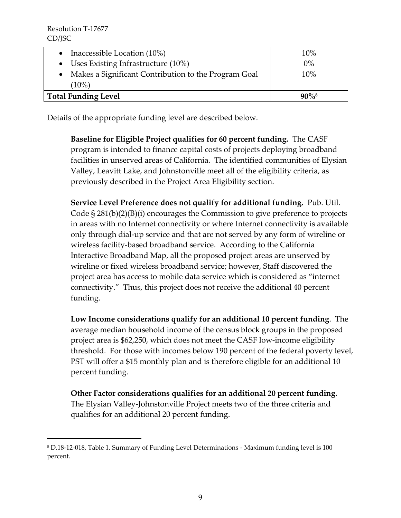$\overline{a}$ 

| $(10\%)$<br><b>Total Funding Level</b>               | $90\%$ <sup>8</sup> |
|------------------------------------------------------|---------------------|
| Makes a Significant Contribution to the Program Goal | 10%                 |
| • Uses Existing Infrastructure $(10\%)$              | $0\%$               |
| • Inaccessible Location $(10\%)$                     | 10%                 |

Details of the appropriate funding level are described below.

**Baseline for Eligible Project qualifies for 60 percent funding.** The CASF program is intended to finance capital costs of projects deploying broadband facilities in unserved areas of California. The identified communities of Elysian Valley, Leavitt Lake, and Johnstonville meet all of the eligibility criteria, as previously described in the Project Area Eligibility section.

**Service Level Preference does not qualify for additional funding.** Pub. Util. Code § 281(b)(2)(B)(i) encourages the Commission to give preference to projects in areas with no Internet connectivity or where Internet connectivity is available only through dial-up service and that are not served by any form of wireline or wireless facility-based broadband service. According to the California Interactive Broadband Map, all the proposed project areas are unserved by wireline or fixed wireless broadband service; however, Staff discovered the project area has access to mobile data service which is considered as "internet connectivity." Thus, this project does not receive the additional 40 percent funding.

**Low Income considerations qualify for an additional 10 percent funding**. The average median household income of the census block groups in the proposed project area is \$62,250, which does not meet the CASF low-income eligibility threshold. For those with incomes below 190 percent of the federal poverty level, PST will offer a \$15 monthly plan and is therefore eligible for an additional 10 percent funding.

**Other Factor considerations qualifies for an additional 20 percent funding.**  The Elysian Valley-Johnstonville Project meets two of the three criteria and qualifies for an additional 20 percent funding.

<sup>8</sup> D.18-12-018, Table 1. Summary of Funding Level Determinations - Maximum funding level is 100 percent.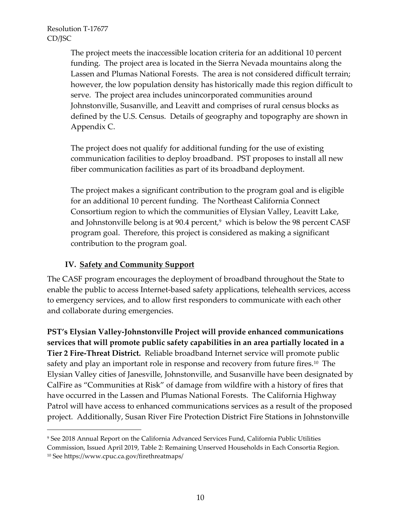$\overline{a}$ 

The project meets the inaccessible location criteria for an additional 10 percent funding. The project area is located in the Sierra Nevada mountains along the Lassen and Plumas National Forests. The area is not considered difficult terrain; however, the low population density has historically made this region difficult to serve. The project area includes unincorporated communities around Johnstonville, Susanville, and Leavitt and comprises of rural census blocks as defined by the U.S. Census. Details of geography and topography are shown in Appendix C.

The project does not qualify for additional funding for the use of existing communication facilities to deploy broadband. PST proposes to install all new fiber communication facilities as part of its broadband deployment.

The project makes a significant contribution to the program goal and is eligible for an additional 10 percent funding. The Northeast California Connect Consortium region to which the communities of Elysian Valley, Leavitt Lake, and Johnstonville belong is at 90.4 percent, $^9\,$  which is below the 98 percent CASF program goal. Therefore, this project is considered as making a significant contribution to the program goal.

#### **IV. Safety and Community Support**

The CASF program encourages the deployment of broadband throughout the State to enable the public to access Internet-based safety applications, telehealth services, access to emergency services, and to allow first responders to communicate with each other and collaborate during emergencies.

**PST's Elysian Valley-Johnstonville Project will provide enhanced communications services that will promote public safety capabilities in an area partially located in a Tier 2 Fire-Threat District.** Reliable broadband Internet service will promote public safety and play an important role in response and recovery from future fires. $^{10}$  The Elysian Valley cities of Janesville, Johnstonville, and Susanville have been designated by CalFire as "Communities at Risk" of damage from wildfire with a history of fires that have occurred in the Lassen and Plumas National Forests. The California Highway Patrol will have access to enhanced communications services as a result of the proposed project. Additionally, Susan River Fire Protection District Fire Stations in Johnstonville

<sup>9</sup> See 2018 Annual Report on the California Advanced Services Fund, California Public Utilities Commission, Issued April 2019, Table 2: Remaining Unserved Households in Each Consortia Region. <sup>10</sup> See https://www.cpuc.ca.gov/firethreatmaps/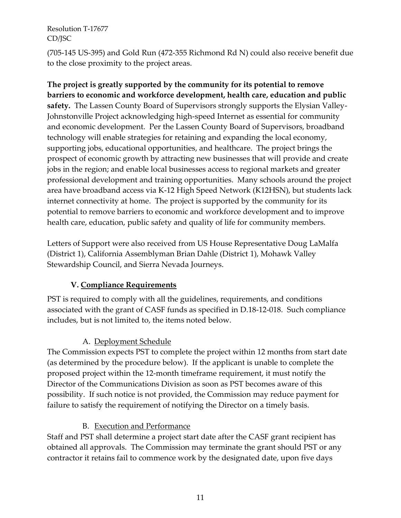(705-145 US-395) and Gold Run (472-355 Richmond Rd N) could also receive benefit due to the close proximity to the project areas.

**The project is greatly supported by the community for its potential to remove barriers to economic and workforce development, health care, education and public safety.** The Lassen County Board of Supervisors strongly supports the Elysian Valley-Johnstonville Project acknowledging high-speed Internet as essential for community and economic development. Per the Lassen County Board of Supervisors, broadband technology will enable strategies for retaining and expanding the local economy, supporting jobs, educational opportunities, and healthcare. The project brings the prospect of economic growth by attracting new businesses that will provide and create jobs in the region; and enable local businesses access to regional markets and greater professional development and training opportunities. Many schools around the project area have broadband access via K-12 High Speed Network (K12HSN), but students lack internet connectivity at home. The project is supported by the community for its potential to remove barriers to economic and workforce development and to improve health care, education, public safety and quality of life for community members.

Letters of Support were also received from US House Representative Doug LaMalfa (District 1), California Assemblyman Brian Dahle (District 1), Mohawk Valley Stewardship Council, and Sierra Nevada Journeys.

## **V. Compliance Requirements**

PST is required to comply with all the guidelines, requirements, and conditions associated with the grant of CASF funds as specified in D.18-12-018. Such compliance includes, but is not limited to, the items noted below.

## A. Deployment Schedule

The Commission expects PST to complete the project within 12 months from start date (as determined by the procedure below). If the applicant is unable to complete the proposed project within the 12-month timeframe requirement, it must notify the Director of the Communications Division as soon as PST becomes aware of this possibility. If such notice is not provided, the Commission may reduce payment for failure to satisfy the requirement of notifying the Director on a timely basis.

#### B. Execution and Performance

Staff and PST shall determine a project start date after the CASF grant recipient has obtained all approvals. The Commission may terminate the grant should PST or any contractor it retains fail to commence work by the designated date, upon five days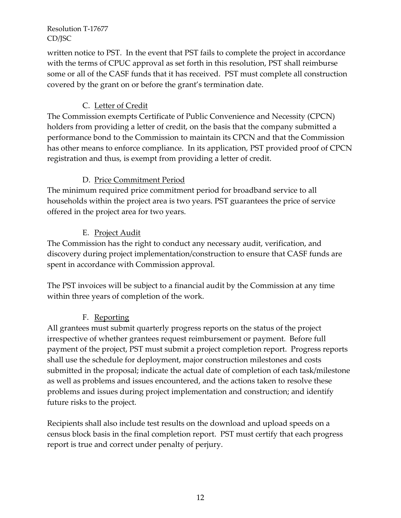written notice to PST. In the event that PST fails to complete the project in accordance with the terms of CPUC approval as set forth in this resolution, PST shall reimburse some or all of the CASF funds that it has received. PST must complete all construction covered by the grant on or before the grant's termination date.

## C. Letter of Credit

The Commission exempts Certificate of Public Convenience and Necessity (CPCN) holders from providing a letter of credit, on the basis that the company submitted a performance bond to the Commission to maintain its CPCN and that the Commission has other means to enforce compliance. In its application, PST provided proof of CPCN registration and thus, is exempt from providing a letter of credit.

## D. Price Commitment Period

The minimum required price commitment period for broadband service to all households within the project area is two years. PST guarantees the price of service offered in the project area for two years.

## E. Project Audit

The Commission has the right to conduct any necessary audit, verification, and discovery during project implementation/construction to ensure that CASF funds are spent in accordance with Commission approval.

The PST invoices will be subject to a financial audit by the Commission at any time within three years of completion of the work.

## F. Reporting

All grantees must submit quarterly progress reports on the status of the project irrespective of whether grantees request reimbursement or payment. Before full payment of the project, PST must submit a project completion report. Progress reports shall use the schedule for deployment, major construction milestones and costs submitted in the proposal; indicate the actual date of completion of each task/milestone as well as problems and issues encountered, and the actions taken to resolve these problems and issues during project implementation and construction; and identify future risks to the project.

Recipients shall also include test results on the download and upload speeds on a census block basis in the final completion report. PST must certify that each progress report is true and correct under penalty of perjury.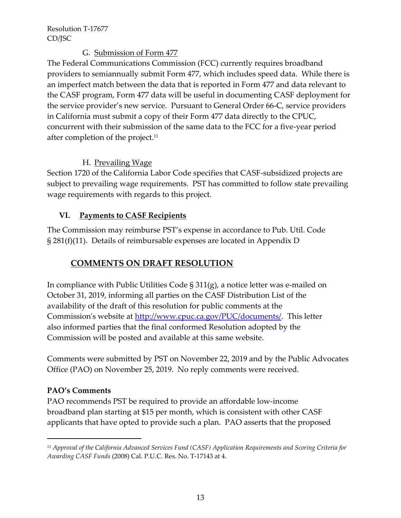#### G. Submission of Form 477

The Federal Communications Commission (FCC) currently requires broadband providers to semiannually submit Form 477, which includes speed data. While there is an imperfect match between the data that is reported in Form 477 and data relevant to the CASF program, Form 477 data will be useful in documenting CASF deployment for the service provider's new service. Pursuant to General Order 66-C, service providers in California must submit a copy of their Form 477 data directly to the CPUC, concurrent with their submission of the same data to the FCC for a five-year period after completion of the project.<sup>11</sup>

## H. Prevailing Wage

Section 1720 of the California Labor Code specifies that CASF-subsidized projects are subject to prevailing wage requirements. PST has committed to follow state prevailing wage requirements with regards to this project.

## **VI. Payments to CASF Recipients**

The Commission may reimburse PST's expense in accordance to Pub. Util. Code § 281(f)(11). Details of reimbursable expenses are located in Appendix D

## **COMMENTS ON DRAFT RESOLUTION**

In compliance with Public Utilities Code § 311(g), a notice letter was e-mailed on October 31, 2019, informing all parties on the CASF Distribution List of the availability of the draft of this resolution for public comments at the Commission's website at [http://www.cpuc.ca.gov/PUC/documents/.](http://www.cpuc.ca.gov/PUC/documents/) This letter also informed parties that the final conformed Resolution adopted by the Commission will be posted and available at this same website.

Comments were submitted by PST on November 22, 2019 and by the Public Advocates Office (PAO) on November 25, 2019. No reply comments were received.

#### **PAO's Comments**

 $\overline{a}$ 

PAO recommends PST be required to provide an affordable low-income broadband plan starting at \$15 per month, which is consistent with other CASF applicants that have opted to provide such a plan. PAO asserts that the proposed

<sup>11</sup> *Approval of the California Advanced Services Fund (CASF) Application Requirements and Scoring Criteria for Awarding CASF Funds* (2008) Cal. P.U.C. Res. No. T-17143 at 4.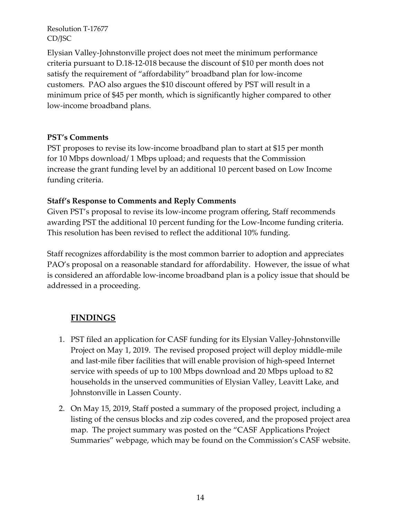Elysian Valley-Johnstonville project does not meet the minimum performance criteria pursuant to D.18-12-018 because the discount of \$10 per month does not satisfy the requirement of "affordability" broadband plan for low-income customers. PAO also argues the \$10 discount offered by PST will result in a minimum price of \$45 per month, which is significantly higher compared to other low-income broadband plans.

#### **PST's Comments**

PST proposes to revise its low-income broadband plan to start at \$15 per month for 10 Mbps download/ 1 Mbps upload; and requests that the Commission increase the grant funding level by an additional 10 percent based on Low Income funding criteria.

## **Staff's Response to Comments and Reply Comments**

Given PST's proposal to revise its low-income program offering, Staff recommends awarding PST the additional 10 percent funding for the Low-Income funding criteria. This resolution has been revised to reflect the additional 10% funding.

Staff recognizes affordability is the most common barrier to adoption and appreciates PAO's proposal on a reasonable standard for affordability. However, the issue of what is considered an affordable low-income broadband plan is a policy issue that should be addressed in a proceeding.

# **FINDINGS**

- 1. PST filed an application for CASF funding for its Elysian Valley-Johnstonville Project on May 1, 2019. The revised proposed project will deploy middle-mile and last-mile fiber facilities that will enable provision of high-speed Internet service with speeds of up to 100 Mbps download and 20 Mbps upload to 82 households in the unserved communities of Elysian Valley, Leavitt Lake, and Johnstonville in Lassen County.
- 2. On May 15, 2019, Staff posted a summary of the proposed project, including a listing of the census blocks and zip codes covered, and the proposed project area map. The project summary was posted on the "CASF Applications Project Summaries" webpage, which may be found on the Commission's CASF website.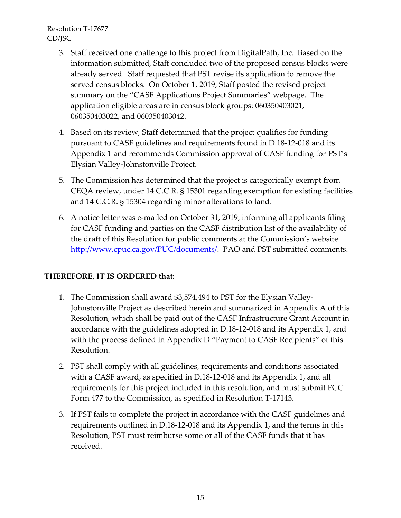- 3. Staff received one challenge to this project from DigitalPath, Inc. Based on the information submitted, Staff concluded two of the proposed census blocks were already served. Staff requested that PST revise its application to remove the served census blocks. On October 1, 2019, Staff posted the revised project summary on the "CASF Applications Project Summaries" webpage. The application eligible areas are in census block groups: 060350403021, 060350403022, and 060350403042.
- 4. Based on its review, Staff determined that the project qualifies for funding pursuant to CASF guidelines and requirements found in D.18-12-018 and its Appendix 1 and recommends Commission approval of CASF funding for PST's Elysian Valley-Johnstonville Project.
- 5. The Commission has determined that the project is categorically exempt from CEQA review, under 14 C.C.R. § 15301 regarding exemption for existing facilities and 14 C.C.R. § 15304 regarding minor alterations to land.
- 6. A notice letter was e-mailed on October 31, 2019, informing all applicants filing for CASF funding and parties on the CASF distribution list of the availability of the draft of this Resolution for public comments at the Commission's website [http://www.cpuc.ca.gov/PUC/documents/.](http://www.cpuc.ca.gov/PUC/documents/) PAO and PST submitted comments.

## **THEREFORE, IT IS ORDERED that:**

- 1. The Commission shall award \$3,574,494 to PST for the Elysian Valley-Johnstonville Project as described herein and summarized in Appendix A of this Resolution, which shall be paid out of the CASF Infrastructure Grant Account in accordance with the guidelines adopted in D.18-12-018 and its Appendix 1, and with the process defined in Appendix D "Payment to CASF Recipients" of this Resolution.
- 2. PST shall comply with all guidelines, requirements and conditions associated with a CASF award, as specified in D.18-12-018 and its Appendix 1, and all requirements for this project included in this resolution, and must submit FCC Form 477 to the Commission, as specified in Resolution T-17143.
- 3. If PST fails to complete the project in accordance with the CASF guidelines and requirements outlined in D.18-12-018 and its Appendix 1, and the terms in this Resolution, PST must reimburse some or all of the CASF funds that it has received.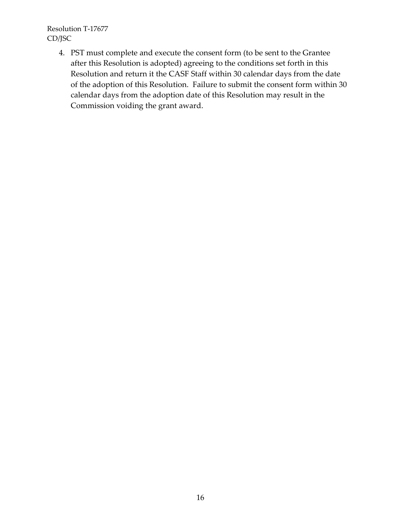> 4. PST must complete and execute the consent form (to be sent to the Grantee after this Resolution is adopted) agreeing to the conditions set forth in this Resolution and return it the CASF Staff within 30 calendar days from the date of the adoption of this Resolution. Failure to submit the consent form within 30 calendar days from the adoption date of this Resolution may result in the Commission voiding the grant award.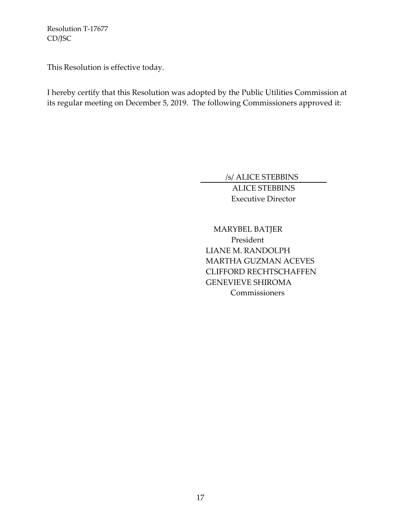This Resolution is effective today.

I hereby certify that this Resolution was adopted by the Public Utilities Commission at its regular meeting on December 5, 2019. The following Commissioners approved it:

/s/ ALICE STEBBINS

ALICE STEBBINS Executive Director

 MARYBEL BATJER President LIANE M. RANDOLPH MARTHA GUZMAN ACEVES CLIFFORD RECHTSCHAFFEN GENEVIEVE SHIROMA **Commissioners**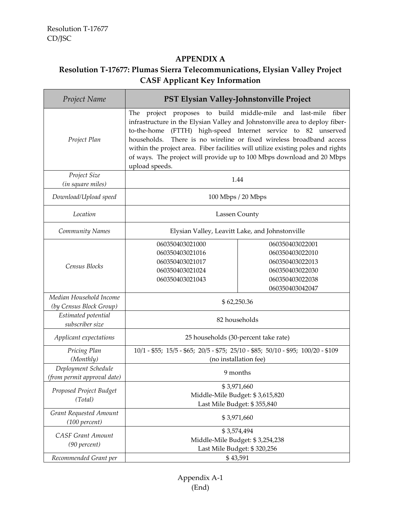#### **APPENDIX A**

# **Resolution T-17677: Plumas Sierra Telecommunications, Elysian Valley Project CASF Applicant Key Information**

| Project Name                                       | PST Elysian Valley-Johnstonville Project                                                                                                                                                                                                                                                                                                                                                                                                                                      |                                                                                                                |
|----------------------------------------------------|-------------------------------------------------------------------------------------------------------------------------------------------------------------------------------------------------------------------------------------------------------------------------------------------------------------------------------------------------------------------------------------------------------------------------------------------------------------------------------|----------------------------------------------------------------------------------------------------------------|
| Project Plan                                       | The project proposes to build middle-mile and last-mile<br>fiber<br>infrastructure in the Elysian Valley and Johnstonville area to deploy fiber-<br>(FTTH) high-speed Internet service to 82 unserved<br>to-the-home<br>There is no wireline or fixed wireless broadband access<br>households.<br>within the project area. Fiber facilities will utilize existing poles and rights<br>of ways. The project will provide up to 100 Mbps download and 20 Mbps<br>upload speeds. |                                                                                                                |
| Project Size<br>(in square miles)                  | 1.44                                                                                                                                                                                                                                                                                                                                                                                                                                                                          |                                                                                                                |
| Download/Upload speed                              | 100 Mbps / 20 Mbps                                                                                                                                                                                                                                                                                                                                                                                                                                                            |                                                                                                                |
| Location                                           | Lassen County                                                                                                                                                                                                                                                                                                                                                                                                                                                                 |                                                                                                                |
| Community Names                                    | Elysian Valley, Leavitt Lake, and Johnstonville                                                                                                                                                                                                                                                                                                                                                                                                                               |                                                                                                                |
| Census Blocks                                      | 060350403021000<br>060350403021016<br>060350403021017<br>060350403021024<br>060350403021043                                                                                                                                                                                                                                                                                                                                                                                   | 060350403022001<br>060350403022010<br>060350403022013<br>060350403022030<br>060350403022038<br>060350403042047 |
| Median Household Income<br>(by Census Block Group) | \$62,250.36                                                                                                                                                                                                                                                                                                                                                                                                                                                                   |                                                                                                                |
| Estimated potential<br>subscriber size             | 82 households                                                                                                                                                                                                                                                                                                                                                                                                                                                                 |                                                                                                                |
| Applicant expectations                             | 25 households (30-percent take rate)                                                                                                                                                                                                                                                                                                                                                                                                                                          |                                                                                                                |
| Pricing Plan<br>(Monthly)                          | 10/1 - \$55; 15/5 - \$65; 20/5 - \$75; 25/10 - \$85; 50/10 - \$95; 100/20 - \$109<br>(no installation fee)                                                                                                                                                                                                                                                                                                                                                                    |                                                                                                                |
| Deployment Schedule<br>(from permit approval date) | 9 months                                                                                                                                                                                                                                                                                                                                                                                                                                                                      |                                                                                                                |
| Proposed Project Budget<br>(Total)                 | \$3,971,660<br>Middle-Mile Budget: \$3,615,820<br>Last Mile Budget: \$355,840                                                                                                                                                                                                                                                                                                                                                                                                 |                                                                                                                |
| Grant Requested Amount<br>(100 percent)            | \$3,971,660                                                                                                                                                                                                                                                                                                                                                                                                                                                                   |                                                                                                                |
| <b>CASF Grant Amount</b><br>$(90$ percent)         | \$3,574,494<br>Middle-Mile Budget: \$3,254,238<br>Last Mile Budget: \$320,256                                                                                                                                                                                                                                                                                                                                                                                                 |                                                                                                                |
| Recommended Grant per                              | \$43,591                                                                                                                                                                                                                                                                                                                                                                                                                                                                      |                                                                                                                |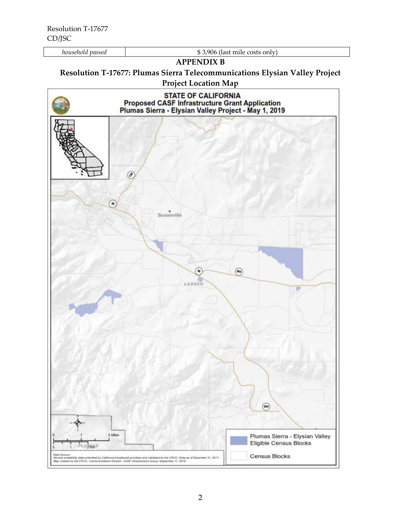*household passed* \$ 3,906 (last mile costs only)

#### **APPENDIX B**

# **Resolution T-17677: Plumas Sierra Telecommunications Elysian Valley Project**

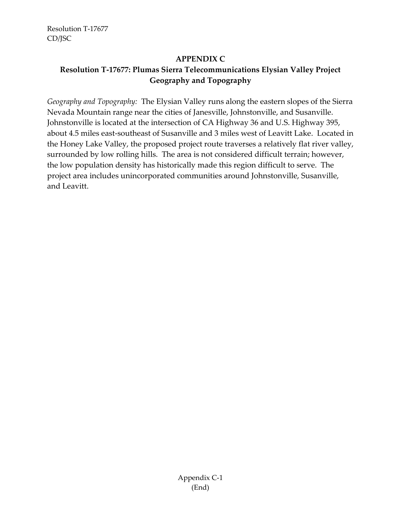#### **APPENDIX C**

# **Resolution T-17677: Plumas Sierra Telecommunications Elysian Valley Project Geography and Topography**

*Geography and Topography:* The Elysian Valley runs along the eastern slopes of the Sierra Nevada Mountain range near the cities of Janesville, Johnstonville, and Susanville. Johnstonville is located at the intersection of CA Highway 36 and U.S. Highway 395, about 4.5 miles east-southeast of Susanville and 3 miles west of Leavitt Lake. Located in the Honey Lake Valley, the proposed project route traverses a relatively flat river valley, surrounded by low rolling hills. The area is not considered difficult terrain; however, the low population density has historically made this region difficult to serve. The project area includes unincorporated communities around Johnstonville, Susanville, and Leavitt.